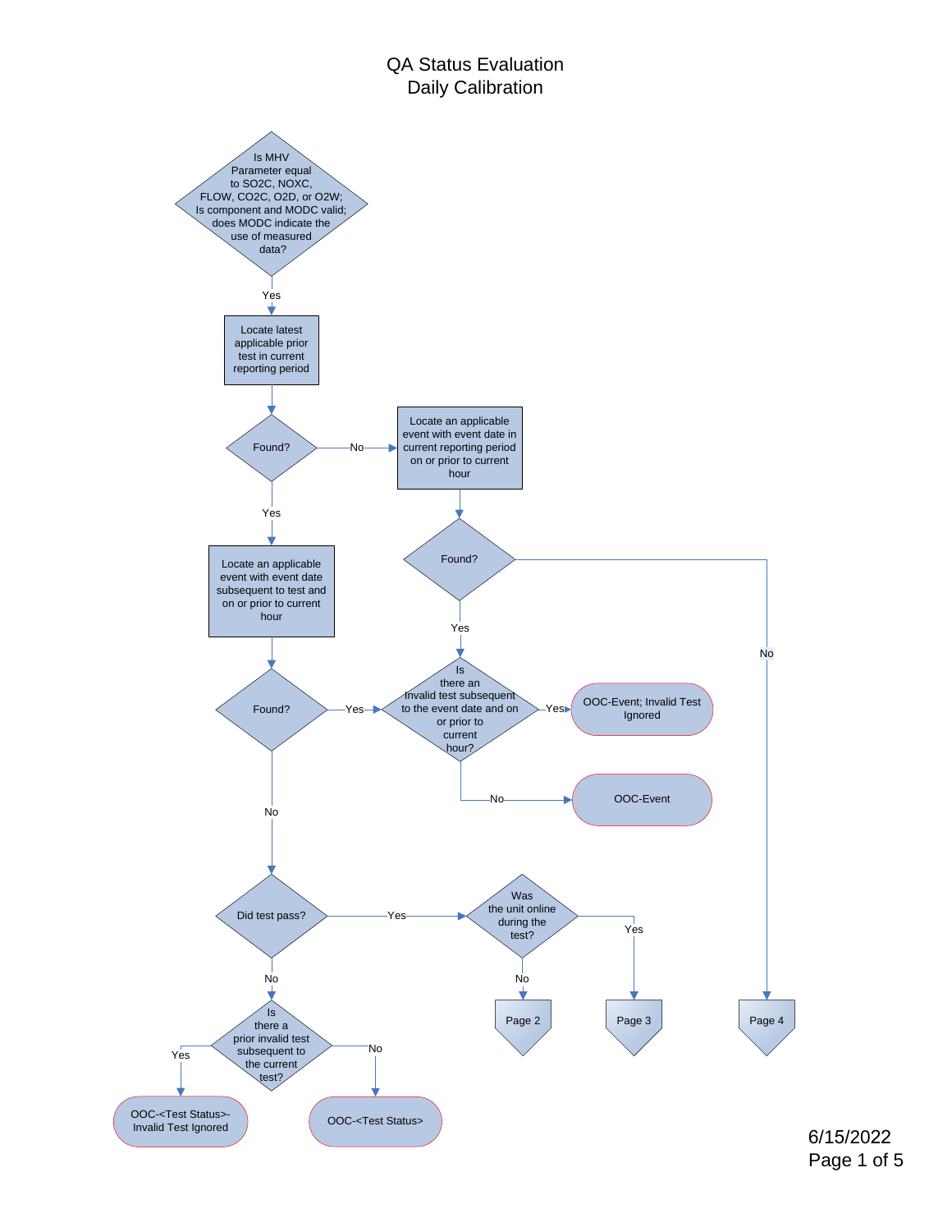## QA Status Evaluation Daily Calibration

<span id="page-0-0"></span>

6/15/2022 Page 1 of 5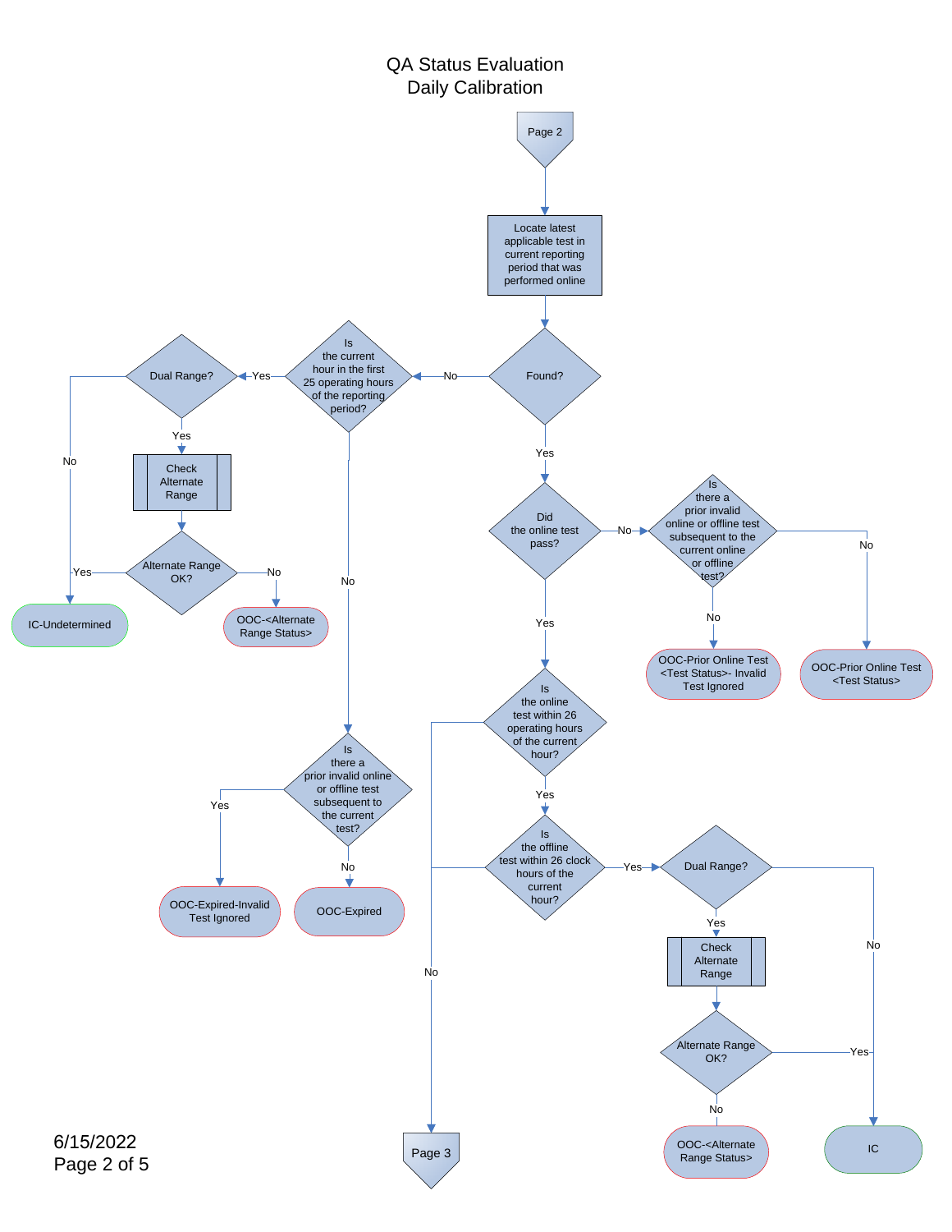<span id="page-1-0"></span>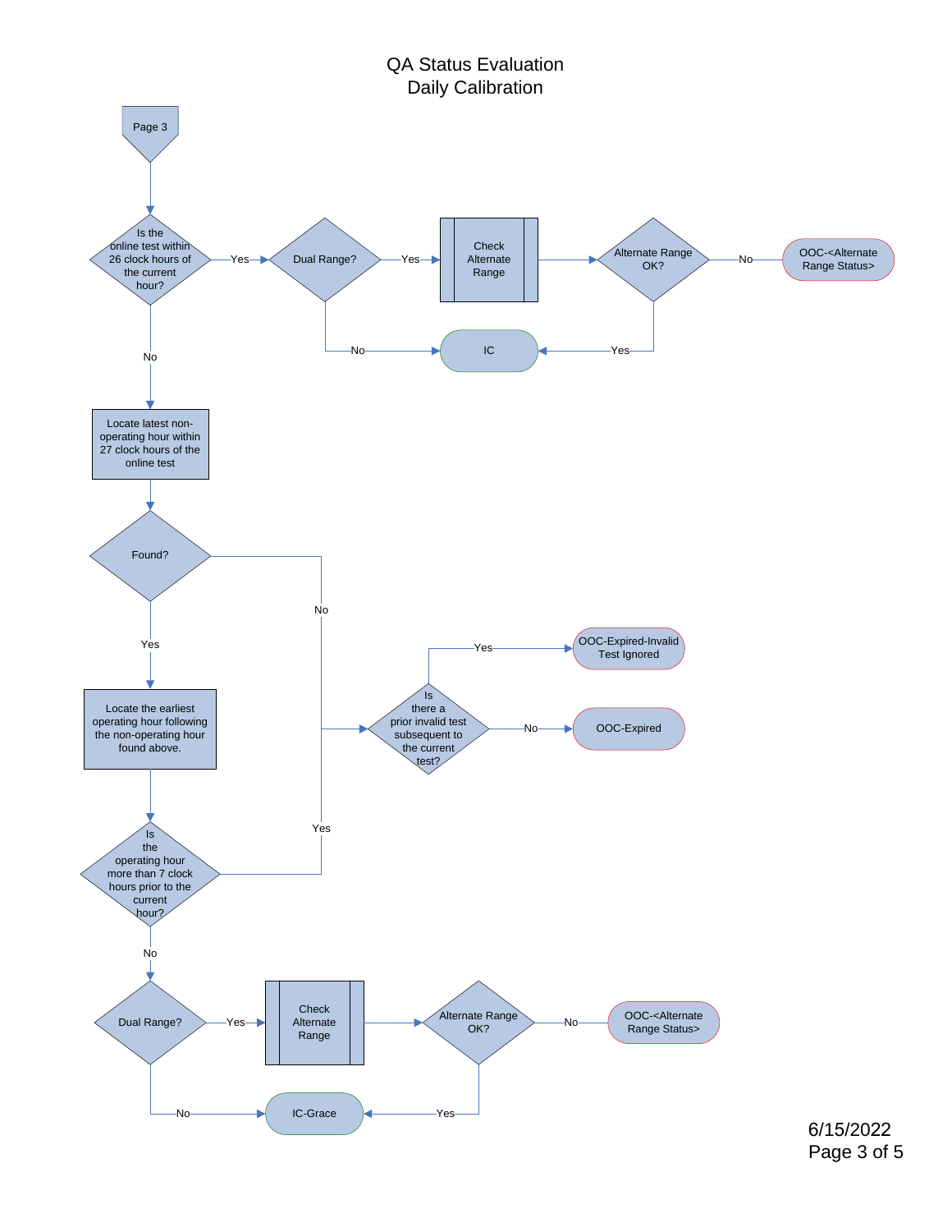QA Status Evaluation Daily Calibration

<span id="page-2-0"></span>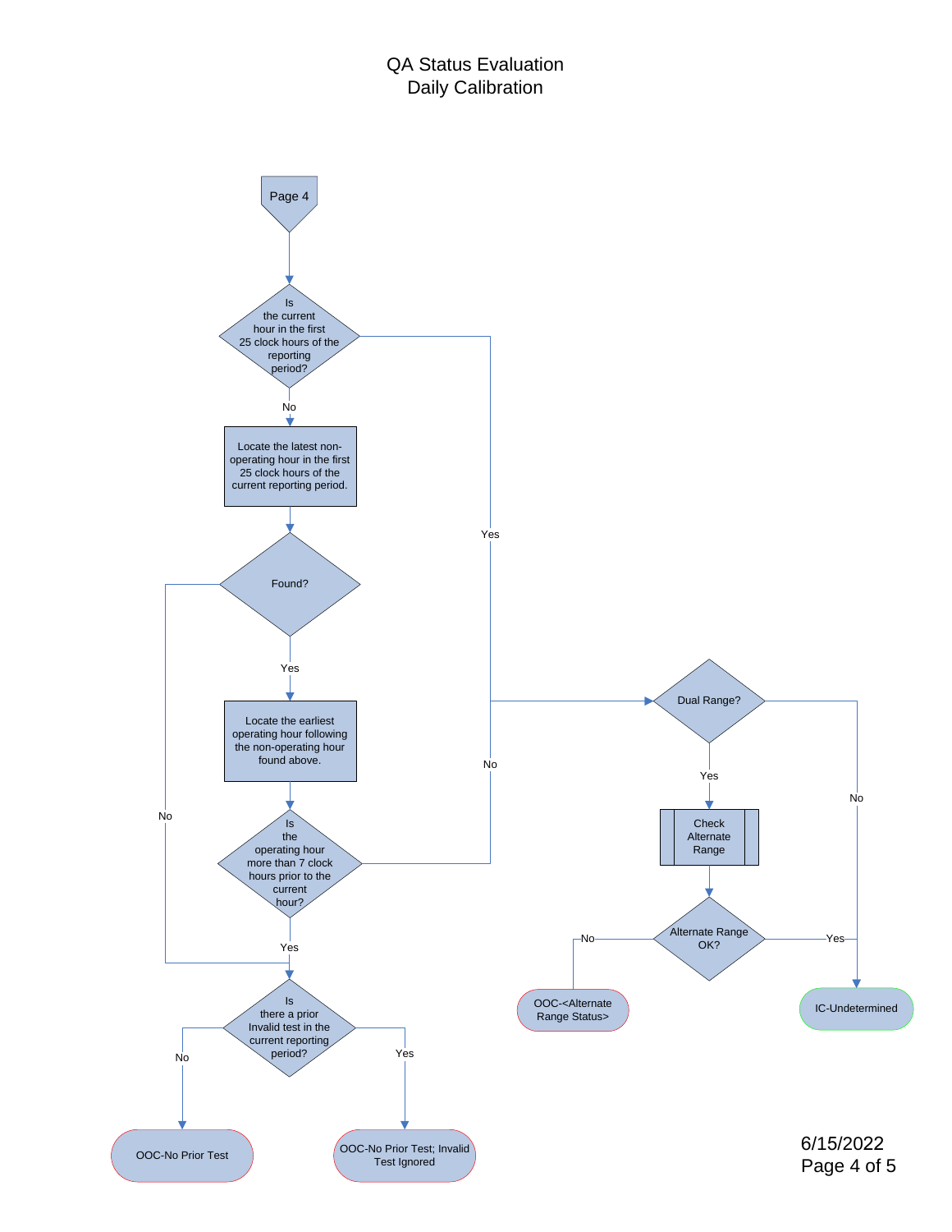<span id="page-3-0"></span>